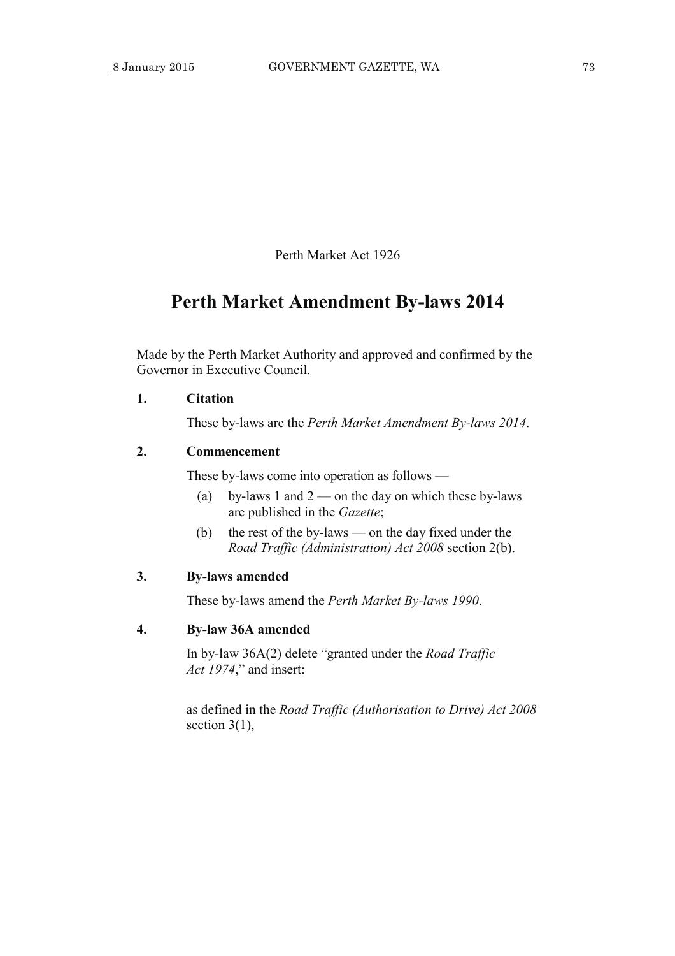Perth Market Act 1926

# **Perth Market Amendment By-laws 2014**

Made by the Perth Market Authority and approved and confirmed by the Governor in Executive Council.

#### **1. Citation**

These by-laws are the *Perth Market Amendment By-laws 2014*.

#### **2. Commencement**

These by-laws come into operation as follows —

- (a) by-laws 1 and  $2$  on the day on which these by-laws are published in the *Gazette*;
- (b) the rest of the by-laws on the day fixed under the *Road Traffic (Administration) Act 2008* section 2(b).

#### **3. By-laws amended**

These by-laws amend the *Perth Market By-laws 1990*.

### **4. By-law 36A amended**

 In by-law 36A(2) delete "granted under the *Road Traffic Act 1974*," and insert:

 as defined in the *Road Traffic (Authorisation to Drive) Act 2008* section  $3(1)$ ,